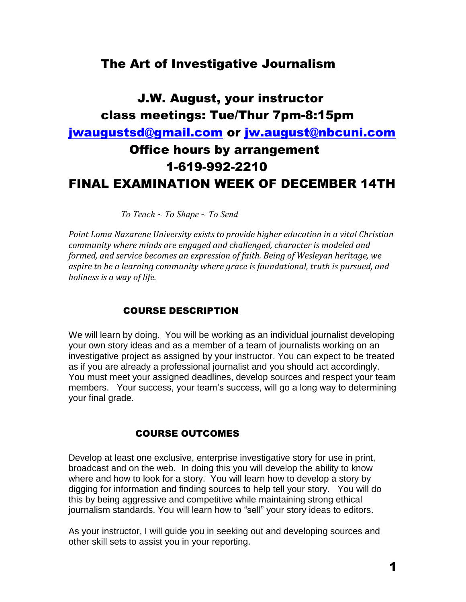# The Art of Investigative Journalism

# J.W. August, your instructor class meetings: Tue/Thur 7pm-8:15pm [jwaugustsd@gmail.com](mailto:jwaugustsd@gmail.com) or [jw.august@nbcuni.com](mailto:jw.august@nbcuni.com) Office hours by arrangement 1-619-992-2210 FINAL EXAMINATION WEEK OF DECEMBER 14TH

 *To Teach ~ To Shape ~ To Send*

*Point Loma Nazarene University exists to provide higher education in a vital Christian community where minds are engaged and challenged, character is modeled and formed, and service becomes an expression of faith. Being of Wesleyan heritage, we aspire to be a learning community where grace is foundational, truth is pursued, and holiness is a way of life.*

# COURSE DESCRIPTION

We will learn by doing. You will be working as an individual journalist developing your own story ideas and as a member of a team of journalists working on an investigative project as assigned by your instructor. You can expect to be treated as if you are already a professional journalist and you should act accordingly. You must meet your assigned deadlines, develop sources and respect your team members. Your success, your team's success, will go a long way to determining your final grade.

# COURSE OUTCOMES

Develop at least one exclusive, enterprise investigative story for use in print, broadcast and on the web. In doing this you will develop the ability to know where and how to look for a story. You will learn how to develop a story by digging for information and finding sources to help tell your story. You will do this by being aggressive and competitive while maintaining strong ethical journalism standards. You will learn how to "sell" your story ideas to editors.

As your instructor, I will guide you in seeking out and developing sources and other skill sets to assist you in your reporting.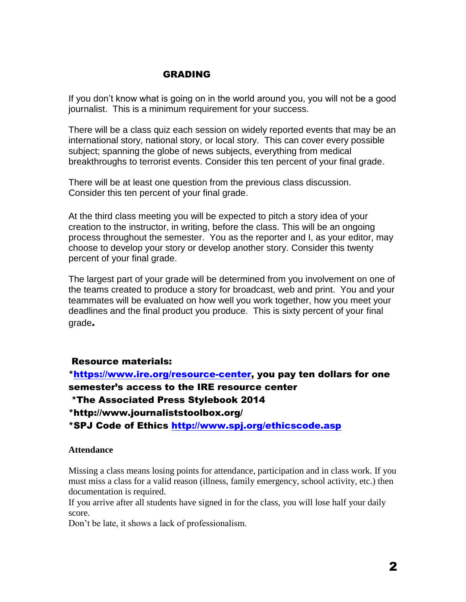# GRADING

If you don't know what is going on in the world around you, you will not be a good journalist. This is a minimum requirement for your success.

There will be a class quiz each session on widely reported events that may be an international story, national story, or local story. This can cover every possible subject; spanning the globe of news subjects, everything from medical breakthroughs to terrorist events. Consider this ten percent of your final grade.

There will be at least one question from the previous class discussion. Consider this ten percent of your final grade.

At the third class meeting you will be expected to pitch a story idea of your creation to the instructor, in writing, before the class. This will be an ongoing process throughout the semester. You as the reporter and I, as your editor, may choose to develop your story or develop another story. Consider this twenty percent of your final grade.

The largest part of your grade will be determined from you involvement on one of the teams created to produce a story for broadcast, web and print. You and your teammates will be evaluated on how well you work together, how you meet your deadlines and the final product you produce. This is sixty percent of your final grade.

# Resource materials:

[\\*https://www.ire.org/resource-center,](https://www.ire.org/resource-center) you pay ten dollars for one semester's access to the IRE resource center

\*The Associated Press Stylebook 2014

\*http://www.journaliststoolbox.org/

\*SPJ Code of Ethics<http://www.spj.org/ethicscode.asp>

#### **Attendance**

Missing a class means losing points for attendance, participation and in class work. If you must miss a class for a valid reason (illness, family emergency, school activity, etc.) then documentation is required.

If you arrive after all students have signed in for the class, you will lose half your daily score.

Don't be late, it shows a lack of professionalism.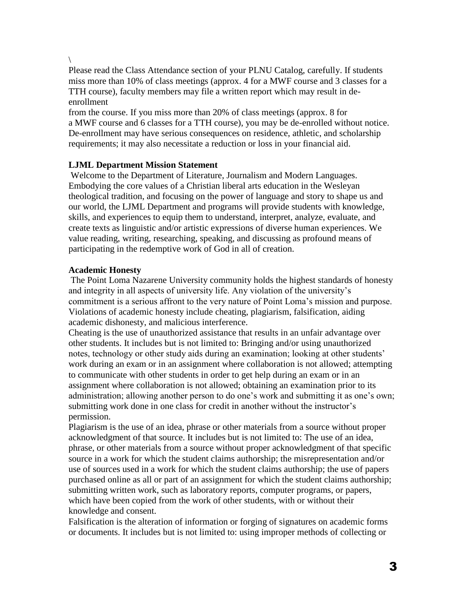\

Please read the Class Attendance section of your PLNU Catalog, carefully. If students miss more than 10% of class meetings (approx. 4 for a MWF course and 3 classes for a TTH course), faculty members may file a written report which may result in deenrollment

from the course. If you miss more than 20% of class meetings (approx. 8 for a MWF course and 6 classes for a TTH course), you may be de-enrolled without notice. De-enrollment may have serious consequences on residence, athletic, and scholarship requirements; it may also necessitate a reduction or loss in your financial aid.

# **LJML Department Mission Statement**

Welcome to the Department of Literature, Journalism and Modern Languages. Embodying the core values of a Christian liberal arts education in the Wesleyan theological tradition, and focusing on the power of language and story to shape us and our world, the LJML Department and programs will provide students with knowledge, skills, and experiences to equip them to understand, interpret, analyze, evaluate, and create texts as linguistic and/or artistic expressions of diverse human experiences. We value reading, writing, researching, speaking, and discussing as profound means of participating in the redemptive work of God in all of creation.

# **Academic Honesty**

The Point Loma Nazarene University community holds the highest standards of honesty and integrity in all aspects of university life. Any violation of the university's commitment is a serious affront to the very nature of Point Loma's mission and purpose. Violations of academic honesty include cheating, plagiarism, falsification, aiding academic dishonesty, and malicious interference.

Cheating is the use of unauthorized assistance that results in an unfair advantage over other students. It includes but is not limited to: Bringing and/or using unauthorized notes, technology or other study aids during an examination; looking at other students' work during an exam or in an assignment where collaboration is not allowed; attempting to communicate with other students in order to get help during an exam or in an assignment where collaboration is not allowed; obtaining an examination prior to its administration; allowing another person to do one's work and submitting it as one's own; submitting work done in one class for credit in another without the instructor's permission.

Plagiarism is the use of an idea, phrase or other materials from a source without proper acknowledgment of that source. It includes but is not limited to: The use of an idea, phrase, or other materials from a source without proper acknowledgment of that specific source in a work for which the student claims authorship; the misrepresentation and/or use of sources used in a work for which the student claims authorship; the use of papers purchased online as all or part of an assignment for which the student claims authorship; submitting written work, such as laboratory reports, computer programs, or papers, which have been copied from the work of other students, with or without their knowledge and consent.

Falsification is the alteration of information or forging of signatures on academic forms or documents. It includes but is not limited to: using improper methods of collecting or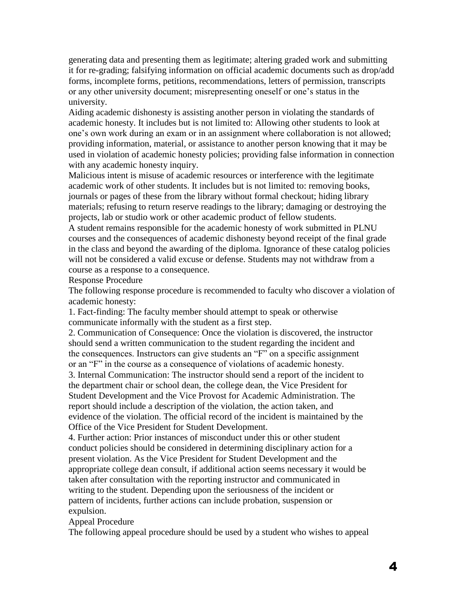generating data and presenting them as legitimate; altering graded work and submitting it for re-grading; falsifying information on official academic documents such as drop/add forms, incomplete forms, petitions, recommendations, letters of permission, transcripts or any other university document; misrepresenting oneself or one's status in the university.

Aiding academic dishonesty is assisting another person in violating the standards of academic honesty. It includes but is not limited to: Allowing other students to look at one's own work during an exam or in an assignment where collaboration is not allowed; providing information, material, or assistance to another person knowing that it may be used in violation of academic honesty policies; providing false information in connection with any academic honesty inquiry.

Malicious intent is misuse of academic resources or interference with the legitimate academic work of other students. It includes but is not limited to: removing books, journals or pages of these from the library without formal checkout; hiding library materials; refusing to return reserve readings to the library; damaging or destroying the projects, lab or studio work or other academic product of fellow students.

A student remains responsible for the academic honesty of work submitted in PLNU courses and the consequences of academic dishonesty beyond receipt of the final grade in the class and beyond the awarding of the diploma. Ignorance of these catalog policies will not be considered a valid excuse or defense. Students may not withdraw from a course as a response to a consequence.

Response Procedure

The following response procedure is recommended to faculty who discover a violation of academic honesty:

1. Fact-finding: The faculty member should attempt to speak or otherwise communicate informally with the student as a first step.

2. Communication of Consequence: Once the violation is discovered, the instructor should send a written communication to the student regarding the incident and the consequences. Instructors can give students an "F" on a specific assignment or an "F" in the course as a consequence of violations of academic honesty. 3. Internal Communication: The instructor should send a report of the incident to

the department chair or school dean, the college dean, the Vice President for Student Development and the Vice Provost for Academic Administration. The report should include a description of the violation, the action taken, and evidence of the violation. The official record of the incident is maintained by the Office of the Vice President for Student Development.

4. Further action: Prior instances of misconduct under this or other student conduct policies should be considered in determining disciplinary action for a present violation. As the Vice President for Student Development and the appropriate college dean consult, if additional action seems necessary it would be taken after consultation with the reporting instructor and communicated in writing to the student. Depending upon the seriousness of the incident or pattern of incidents, further actions can include probation, suspension or expulsion.

Appeal Procedure

The following appeal procedure should be used by a student who wishes to appeal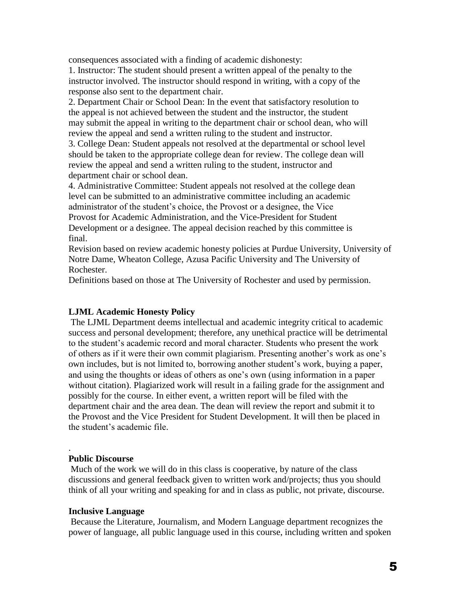consequences associated with a finding of academic dishonesty:

1. Instructor: The student should present a written appeal of the penalty to the instructor involved. The instructor should respond in writing, with a copy of the response also sent to the department chair.

2. Department Chair or School Dean: In the event that satisfactory resolution to the appeal is not achieved between the student and the instructor, the student may submit the appeal in writing to the department chair or school dean, who will review the appeal and send a written ruling to the student and instructor.

3. College Dean: Student appeals not resolved at the departmental or school level should be taken to the appropriate college dean for review. The college dean will review the appeal and send a written ruling to the student, instructor and department chair or school dean.

4. Administrative Committee: Student appeals not resolved at the college dean level can be submitted to an administrative committee including an academic administrator of the student's choice, the Provost or a designee, the Vice Provost for Academic Administration, and the Vice-President for Student Development or a designee. The appeal decision reached by this committee is final.

Revision based on review academic honesty policies at Purdue University, University of Notre Dame, Wheaton College, Azusa Pacific University and The University of Rochester.

Definitions based on those at The University of Rochester and used by permission.

#### **LJML Academic Honesty Policy**

The LJML Department deems intellectual and academic integrity critical to academic success and personal development; therefore, any unethical practice will be detrimental to the student's academic record and moral character. Students who present the work of others as if it were their own commit plagiarism. Presenting another's work as one's own includes, but is not limited to, borrowing another student's work, buying a paper, and using the thoughts or ideas of others as one's own (using information in a paper without citation). Plagiarized work will result in a failing grade for the assignment and possibly for the course. In either event, a written report will be filed with the department chair and the area dean. The dean will review the report and submit it to the Provost and the Vice President for Student Development. It will then be placed in the student's academic file.

#### **Public Discourse**

.

Much of the work we will do in this class is cooperative, by nature of the class discussions and general feedback given to written work and/projects; thus you should think of all your writing and speaking for and in class as public, not private, discourse.

#### **Inclusive Language**

Because the Literature, Journalism, and Modern Language department recognizes the power of language, all public language used in this course, including written and spoken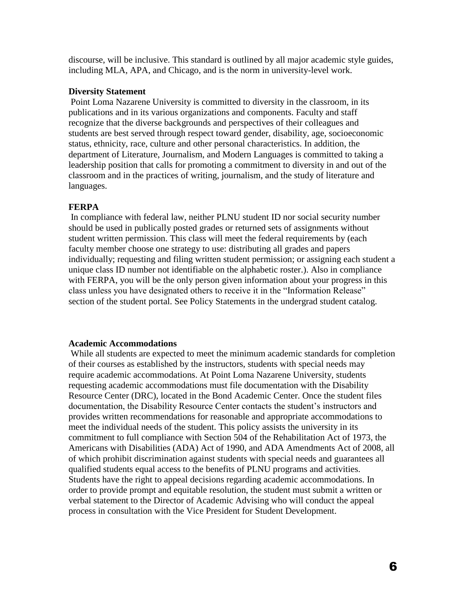discourse, will be inclusive. This standard is outlined by all major academic style guides, including MLA, APA, and Chicago, and is the norm in university-level work.

#### **Diversity Statement**

Point Loma Nazarene University is committed to diversity in the classroom, in its publications and in its various organizations and components. Faculty and staff recognize that the diverse backgrounds and perspectives of their colleagues and students are best served through respect toward gender, disability, age, socioeconomic status, ethnicity, race, culture and other personal characteristics. In addition, the department of Literature, Journalism, and Modern Languages is committed to taking a leadership position that calls for promoting a commitment to diversity in and out of the classroom and in the practices of writing, journalism, and the study of literature and languages.

#### **FERPA**

In compliance with federal law, neither PLNU student ID nor social security number should be used in publically posted grades or returned sets of assignments without student written permission. This class will meet the federal requirements by (each faculty member choose one strategy to use: distributing all grades and papers individually; requesting and filing written student permission; or assigning each student a unique class ID number not identifiable on the alphabetic roster.). Also in compliance with FERPA, you will be the only person given information about your progress in this class unless you have designated others to receive it in the "Information Release" section of the student portal. See Policy Statements in the undergrad student catalog.

#### **Academic Accommodations**

While all students are expected to meet the minimum academic standards for completion of their courses as established by the instructors, students with special needs may require academic accommodations. At Point Loma Nazarene University, students requesting academic accommodations must file documentation with the Disability Resource Center (DRC), located in the Bond Academic Center. Once the student files documentation, the Disability Resource Center contacts the student's instructors and provides written recommendations for reasonable and appropriate accommodations to meet the individual needs of the student. This policy assists the university in its commitment to full compliance with Section 504 of the Rehabilitation Act of 1973, the Americans with Disabilities (ADA) Act of 1990, and ADA Amendments Act of 2008, all of which prohibit discrimination against students with special needs and guarantees all qualified students equal access to the benefits of PLNU programs and activities. Students have the right to appeal decisions regarding academic accommodations. In order to provide prompt and equitable resolution, the student must submit a written or verbal statement to the Director of Academic Advising who will conduct the appeal process in consultation with the Vice President for Student Development.